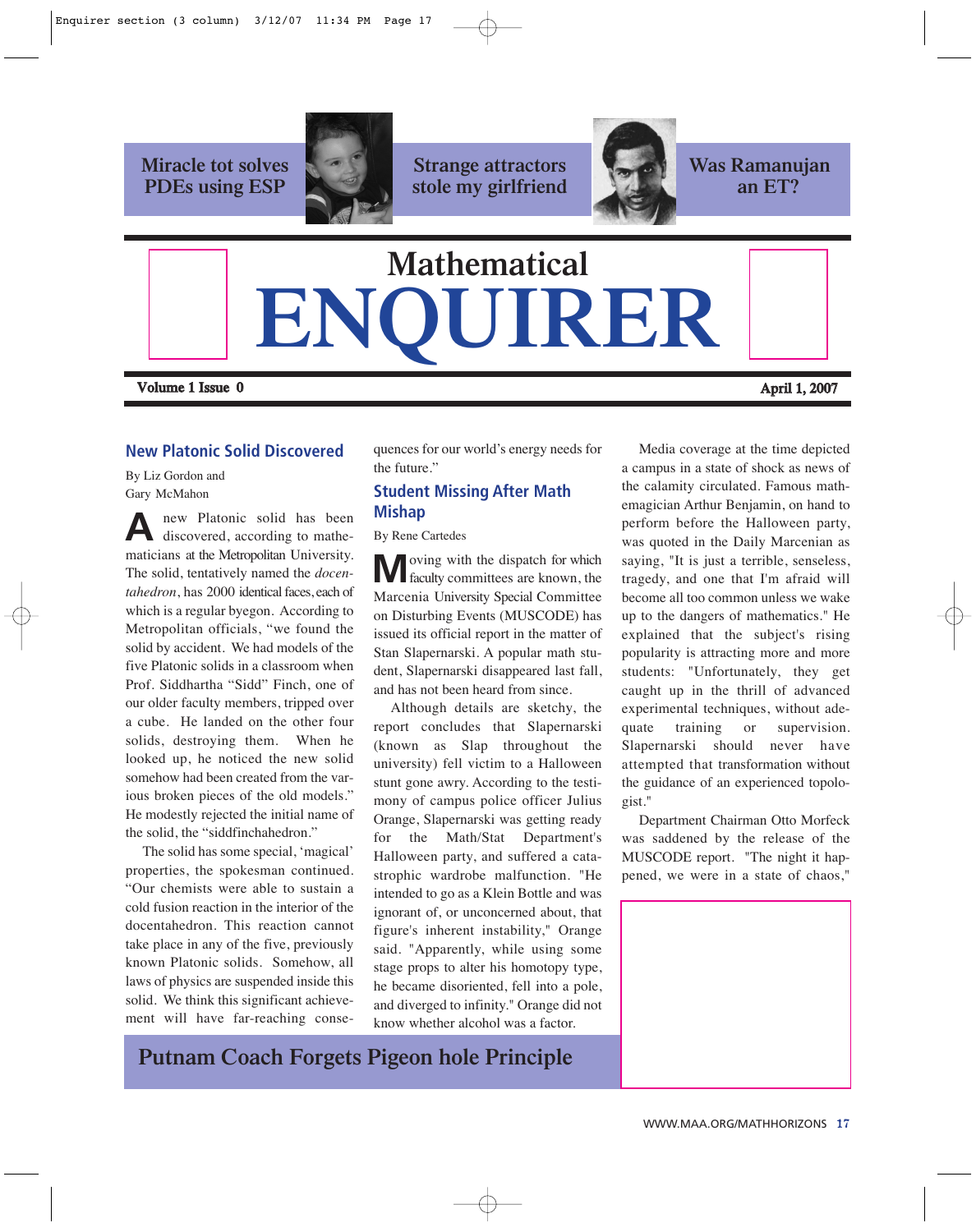**Miracle tot solves PDEs using ESP**



**Strange attractors stole my girlfriend**



**Was Ramanujan an ET?**

# **Mathematical ENQUIRER**

**Volume 1 Issue 0 April 1, 2007**

## **New Platonic Solid Discovered**

By Liz Gordon and Gary McMahon

A new Platonic solid has been<br>discovered, according to mathematicians at the Metropolitan University. The solid, tentatively named the *docentahedron*, has 2000 identical faces, each of which is a regular byegon. According to Metropolitan officials, "we found the solid by accident. We had models of the five Platonic solids in a classroom when Prof. Siddhartha "Sidd" Finch, one of our older faculty members, tripped over a cube. He landed on the other four solids, destroying them. When he looked up, he noticed the new solid somehow had been created from the various broken pieces of the old models." He modestly rejected the initial name of the solid, the "siddfinchahedron."

The solid has some special, 'magical' properties, the spokesman continued. "Our chemists were able to sustain a cold fusion reaction in the interior of the docentahedron. This reaction cannot take place in any of the five, previously known Platonic solids. Somehow, all laws of physics are suspended inside this solid. We think this significant achievement will have far-reaching conse-

**Putnam Coach Forgets Pigeon hole Principle**

quences for our world's energy needs for the future."

## **Student Missing After Math Mishap**

By Rene Cartedes

**Noving** with the dispatch for which faculty committees are known, the Marcenia University Special Committee on Disturbing Events (MUSCODE) has issued its official report in the matter of Stan Slapernarski. A popular math student, Slapernarski disappeared last fall, and has not been heard from since.

Although details are sketchy, the report concludes that Slapernarski (known as Slap throughout the university) fell victim to a Halloween stunt gone awry. According to the testimony of campus police officer Julius Orange, Slapernarski was getting ready for the Math/Stat Department's Halloween party, and suffered a catastrophic wardrobe malfunction. "He intended to go as a Klein Bottle and was ignorant of, or unconcerned about, that figure's inherent instability," Orange said. "Apparently, while using some stage props to alter his homotopy type, he became disoriented, fell into a pole, and diverged to infinity." Orange did not know whether alcohol was a factor.

Media coverage at the time depicted a campus in a state of shock as news of the calamity circulated. Famous mathemagician Arthur Benjamin, on hand to perform before the Halloween party, was quoted in the Daily Marcenian as saying, "It is just a terrible, senseless, tragedy, and one that I'm afraid will become all too common unless we wake up to the dangers of mathematics." He explained that the subject's rising popularity is attracting more and more students: "Unfortunately, they get caught up in the thrill of advanced experimental techniques, without adequate training or supervision. Slapernarski should never have attempted that transformation without the guidance of an experienced topologist."

Department Chairman Otto Morfeck was saddened by the release of the MUSCODE report. "The night it happened, we were in a state of chaos,"

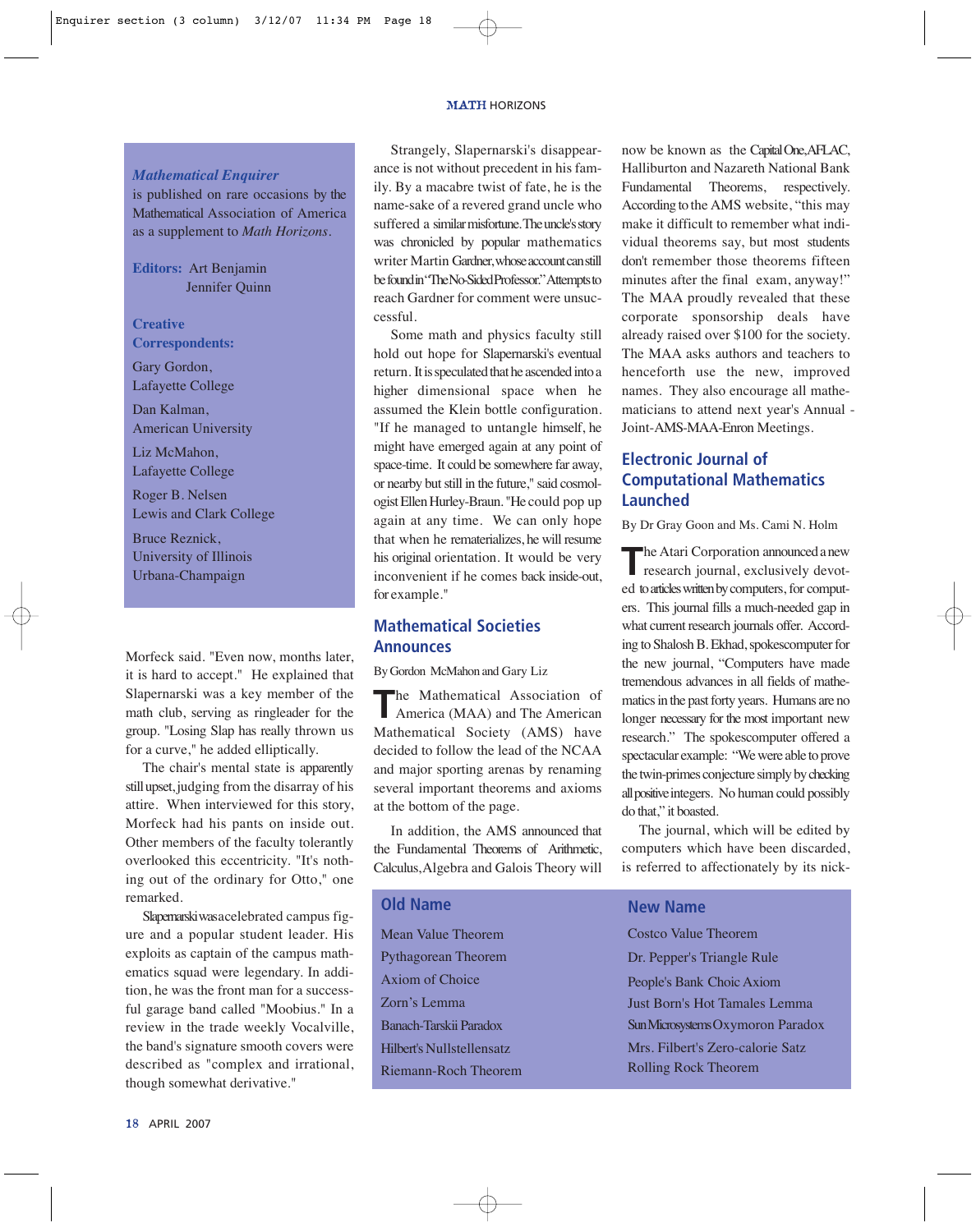#### MATH HORIZONS

#### *Mathematical Enquirer*

is published on rare occasions by the Mathematical Association of America as a supplement to *Math Horizons*.

**Editors:** Art Benjamin Jennifer Quinn

**Creative Correspondents:**

Gary Gordon, Lafayette College

Dan Kalman, American University

Liz McMahon, Lafayette College

Roger B. Nelsen Lewis and Clark College

Bruce Reznick, University of Illinois Urbana-Champaign

Morfeck said. "Even now, months later, it is hard to accept." He explained that Slapernarski was a key member of the math club, serving as ringleader for the group. "Losing Slap has really thrown us for a curve," he added elliptically.

The chair's mental state is apparently still upset, judging from the disarray of his attire. When interviewed for this story, Morfeck had his pants on inside out. Other members of the faculty tolerantly overlooked this eccentricity. "It's nothing out of the ordinary for Otto," one remarked.

Slapernarski was a celebrated campus figure and a popular student leader. His exploits as captain of the campus mathematics squad were legendary. In addition, he was the front man for a successful garage band called "Moobius." In a review in the trade weekly Vocalville, the band's signature smooth covers were described as "complex and irrational, though somewhat derivative."

Strangely, Slapernarski's disappearance is not without precedent in his family. By a macabre twist of fate, he is the name-sake of a revered grand uncle who suffered a similar misfortune. The uncle's story was chronicled by popular mathematics writer Martin Gardner, whose account can still be found in "The No-Sided Professor." Attempts to reach Gardner for comment were unsuccessful.

Some math and physics faculty still hold out hope for Slapernarski's eventual return. It is speculated that he ascended into a higher dimensional space when he assumed the Klein bottle configuration. "If he managed to untangle himself, he might have emerged again at any point of space-time. It could be somewhere far away, or nearby but still in the future," said cosmologist Ellen Hurley-Braun. "He could pop up again at any time. We can only hope that when he rematerializes, he will resume his original orientation. It would be very inconvenient if he comes back inside-out, for example."

## **Mathematical Societies Announces**

By Gordon McMahon and Gary Liz

**T**he Mathematical Association of America (MAA) and The American Mathematical Society (AMS) have decided to follow the lead of the NCAA and major sporting arenas by renaming several important theorems and axioms at the bottom of the page.

In addition, the AMS announced that the Fundamental Theorems of Arithmetic, Calculus, Algebra and Galois Theory will

### **Old Name**

Mean Value Theorem Pythagorean Theorem Axiom of Choice Zorn's Lemma Banach-Tarskii Paradox Hilbert's Nullstellensatz Riemann-Roch Theorem now be known as the Capital One, AFLAC, Halliburton and Nazareth National Bank Fundamental Theorems, respectively. According to the AMS website, "this may make it difficult to remember what individual theorems say, but most students don't remember those theorems fifteen minutes after the final exam, anyway!" The MAA proudly revealed that these corporate sponsorship deals have already raised over \$100 for the society. The MAA asks authors and teachers to henceforth use the new, improved names. They also encourage all mathematicians to attend next year's Annual - Joint-AMS-MAA-Enron Meetings.

## **Electronic Journal of Computational Mathematics Launched**

By Dr Gray Goon and Ms. Cami N. Holm

**T**he Atari Corporation announced a new research journal, exclusively devoted to articles written by computers, for computers. This journal fills a much-needed gap in what current research journals offer. According to Shalosh B. Ekhad, spokescomputer for the new journal, "Computers have made tremendous advances in all fields of mathematics in the past forty years. Humans are no longer necessary for the most important new research." The spokescomputer offered a spectacular example: "We were able to prove the twin-primes conjecture simply by checking all positive integers. No human could possibly do that," it boasted.

The journal, which will be edited by computers which have been discarded, is referred to affectionately by its nick-

#### **New Name**

Costco Value Theorem Dr. Pepper's Triangle Rule People's Bank Choic Axiom Just Born's Hot Tamales Lemma Sun Microsystems Oxymoron Paradox Mrs. Filbert's Zero-calorie Satz Rolling Rock Theorem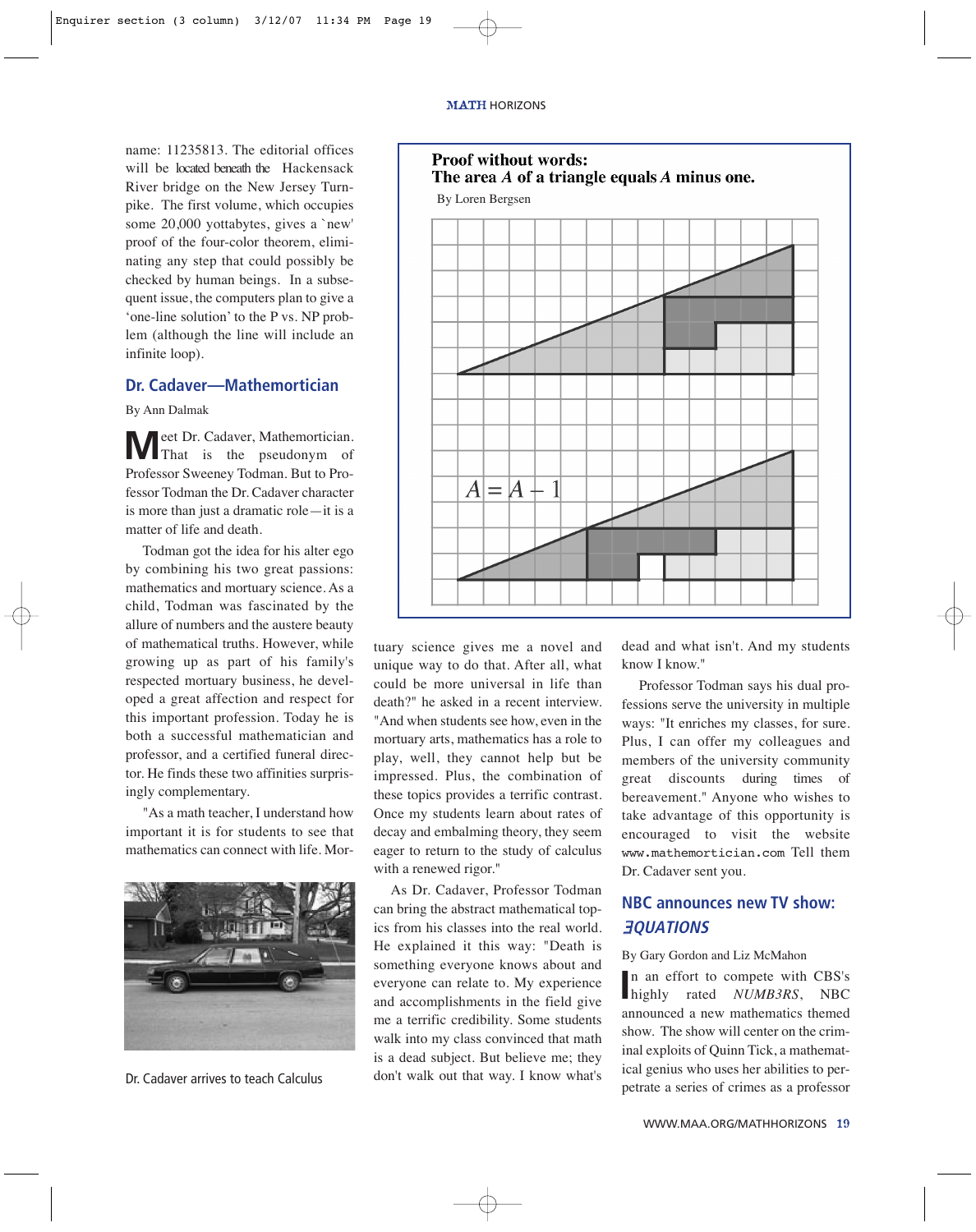name: 11235813. The editorial offices will be located beneath the Hackensack River bridge on the New Jersey Turnpike. The first volume, which occupies some 20,000 yottabytes, gives a `new' proof of the four-color theorem, eliminating any step that could possibly be checked by human beings. In a subsequent issue, the computers plan to give a 'one-line solution' to the P vs. NP problem (although the line will include an infinite loop).

#### **Dr. Cadaver—Mathemortician**

By Ann Dalmak

**M**eet Dr. Cadaver, Mathemortician.<br>That is the pseudonym of Professor Sweeney Todman. But to Professor Todman the Dr. Cadaver character is more than just a dramatic role—it is a matter of life and death.

Todman got the idea for his alter ego by combining his two great passions: mathematics and mortuary science. As a child, Todman was fascinated by the allure of numbers and the austere beauty of mathematical truths. However, while growing up as part of his family's respected mortuary business, he developed a great affection and respect for this important profession. Today he is both a successful mathematician and professor, and a certified funeral director. He finds these two affinities surprisingly complementary.

"As a math teacher, I understand how important it is for students to see that mathematics can connect with life. Mor-



Dr. Cadaver arrives to teach Calculus



tuary science gives me a novel and unique way to do that. After all, what could be more universal in life than death?" he asked in a recent interview. "And when students see how, even in the mortuary arts, mathematics has a role to play, well, they cannot help but be impressed. Plus, the combination of these topics provides a terrific contrast. Once my students learn about rates of decay and embalming theory, they seem eager to return to the study of calculus with a renewed rigor."

As Dr. Cadaver, Professor Todman can bring the abstract mathematical topics from his classes into the real world. He explained it this way: "Death is something everyone knows about and everyone can relate to. My experience and accomplishments in the field give me a terrific credibility. Some students walk into my class convinced that math is a dead subject. But believe me; they don't walk out that way. I know what's dead and what isn't. And my students know I know."

Professor Todman says his dual professions serve the university in multiple ways: "It enriches my classes, for sure. Plus, I can offer my colleagues and members of the university community great discounts during times of bereavement." Anyone who wishes to take advantage of this opportunity is encouraged to visit the website www.mathemortician.com Tell them Dr. Cadaver sent you.

## **NBC announces new TV show:** ∃**QUATIONS**

#### By Gary Gordon and Liz McMahon

n an effort to compete with CBS's<br>highly rated *NUMB3RS*, NBC highly rated *NUMB3RS*, NBC announced a new mathematics themed show. The show will center on the criminal exploits of Quinn Tick, a mathematical genius who uses her abilities to perpetrate a series of crimes as a professor